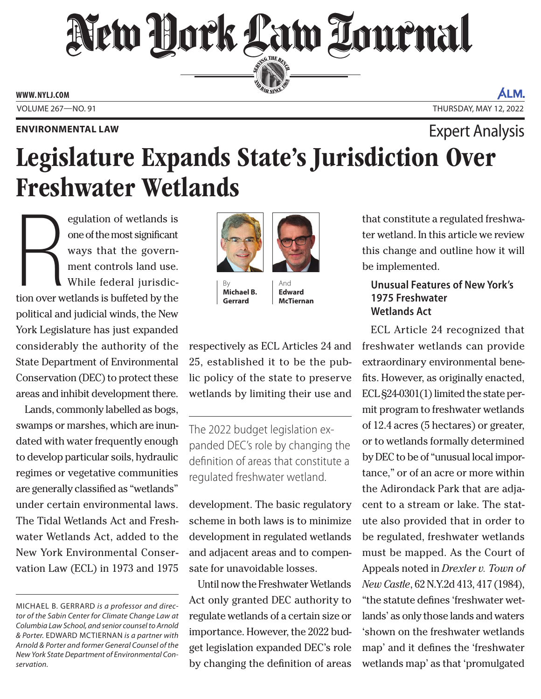# New Dock Law Lournal SERVICE THE BENCH

**ED BAR SINCE 188** 

**WWW. NYLJ.COM**

#### **ENVIRONMENTAL LAW**

ÁLM. VOLUME 267—NO. 91 THURSDAY, MAY 12, 2022

# Legislature Expands State's Jurisdiction Over Freshwater Wetlands Expert Analysis

**R**<br>tion over w egulation of wetlands is one of the most significant ways that the government controls land use. While federal jurisdiction over wetlands is buffeted by the political and judicial winds, the New York Legislature has just expanded considerably the authority of the State Department of Environmental Conservation (DEC) to protect these areas and inhibit development there.

Lands, commonly labelled as bogs, swamps or marshes, which are inundated with water frequently enough to develop particular soils, hydraulic regimes or vegetative communities are generally classified as "wetlands" under certain environmental laws. The Tidal Wetlands Act and Freshwater Wetlands Act, added to the New York Environmental Conservation Law (ECL) in 1973 and 1975



**Michael B. Gerrard**

And **Edward McTiernan**

respectively as ECL Articles 24 and 25, established it to be the public policy of the state to preserve wetlands by limiting their use and

The 2022 budget legislation expanded DEC's role by changing the definition of areas that constitute a regulated freshwater wetland.

development. The basic regulatory scheme in both laws is to minimize development in regulated wetlands and adjacent areas and to compensate for unavoidable losses.

Until now the Freshwater Wetlands Act only granted DEC authority to regulate wetlands of a certain size or importance. However, the 2022 budget legislation expanded DEC's role by changing the definition of areas

that constitute a regulated freshwater wetland. In this article we review this change and outline how it will be implemented.

### **Unusual Features of New York's 1975 Freshwater Wetlands Act**

ECL Article 24 recognized that freshwater wetlands can provide extraordinary environmental benefits. However, as originally enacted, ECL §24-0301(1) limited the state permit program to freshwater wetlands of 12.4 acres (5 hectares) or greater, or to wetlands formally determined by DEC to be of "unusual local importance," or of an acre or more within the Adirondack Park that are adjacent to a stream or lake. The statute also provided that in order to be regulated, freshwater wetlands must be mapped. As the Court of Appeals noted in *Drexler v. Town of New Castle*, 62 N.Y.2d 413, 417 (1984), "the statute defines 'freshwater wetlands' as only those lands and waters 'shown on the freshwater wetlands map' and it defines the 'freshwater wetlands map' as that 'promulgated

MICHAEL B. GERRARD *is a professor and director of the Sabin Center for Climate Change Law at Columbia Law School, and senior counsel to Arnold & Porter.* EDWARD MCTIERNAN *is a partner with Arnold & Porter and former General Counsel of the New York State Department of Environmental Conservation.*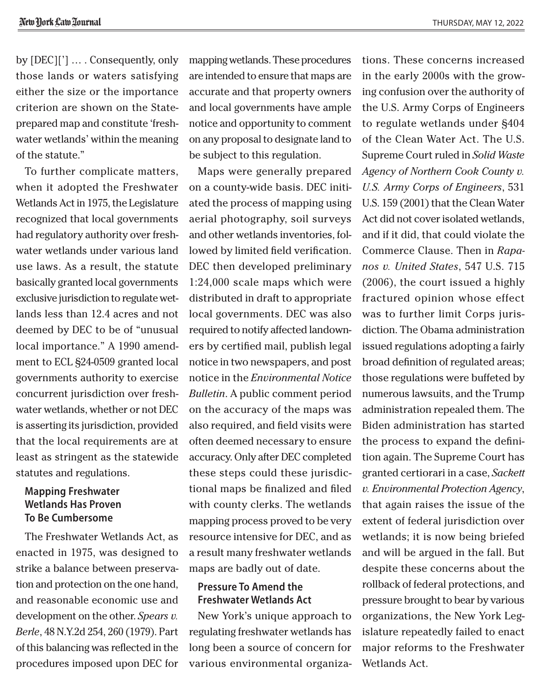by [DEC]['] … . Consequently, only those lands or waters satisfying either the size or the importance criterion are shown on the Stateprepared map and constitute 'freshwater wetlands' within the meaning of the statute."

To further complicate matters, when it adopted the Freshwater Wetlands Act in 1975, the Legislature recognized that local governments had regulatory authority over freshwater wetlands under various land use laws. As a result, the statute basically granted local governments exclusive jurisdiction to regulate wetlands less than 12.4 acres and not deemed by DEC to be of "unusual local importance." A 1990 amendment to ECL §24-0509 granted local governments authority to exercise concurrent jurisdiction over freshwater wetlands, whether or not DEC is asserting its jurisdiction, provided that the local requirements are at least as stringent as the statewide statutes and regulations.

## **Mapping Freshwater Wetlands Has Proven To Be Cumbersome**

The Freshwater Wetlands Act, as enacted in 1975, was designed to strike a balance between preservation and protection on the one hand, and reasonable economic use and development on the other. *Spears v. Berle*, 48 N.Y.2d 254, 260 (1979). Part of this balancing was reflected in the procedures imposed upon DEC for mapping wetlands. These procedures are intended to ensure that maps are accurate and that property owners and local governments have ample notice and opportunity to comment on any proposal to designate land to be subject to this regulation.

Maps were generally prepared on a county-wide basis. DEC initiated the process of mapping using aerial photography, soil surveys and other wetlands inventories, followed by limited field verification. DEC then developed preliminary 1:24,000 scale maps which were distributed in draft to appropriate local governments. DEC was also required to notify affected landowners by certified mail, publish legal notice in two newspapers, and post notice in the *Environmental Notice Bulletin*. A public comment period on the accuracy of the maps was also required, and field visits were often deemed necessary to ensure accuracy. Only after DEC completed these steps could these jurisdictional maps be finalized and filed with county clerks. The wetlands mapping process proved to be very resource intensive for DEC, and as a result many freshwater wetlands maps are badly out of date.

#### **Pressure To Amend the Freshwater Wetlands Act**

New York's unique approach to regulating freshwater wetlands has long been a source of concern for various environmental organiza-

tions. These concerns increased in the early 2000s with the growing confusion over the authority of the U.S. Army Corps of Engineers to regulate wetlands under §404 of the Clean Water Act. The U.S. Supreme Court ruled in *Solid Waste Agency of Northern Cook County v. U.S. Army Corps of Engineers*, 531 U.S. 159 (2001) that the Clean Water Act did not cover isolated wetlands, and if it did, that could violate the Commerce Clause. Then in *Rapanos v. United States*, 547 U.S. 715 (2006), the court issued a highly fractured opinion whose effect was to further limit Corps jurisdiction. The Obama administration issued regulations adopting a fairly broad definition of regulated areas; those regulations were buffeted by numerous lawsuits, and the Trump administration repealed them. The Biden administration has started the process to expand the definition again. The Supreme Court has granted certiorari in a case, *Sackett v. Environmental Protection Agency*, that again raises the issue of the extent of federal jurisdiction over wetlands; it is now being briefed and will be argued in the fall. But despite these concerns about the rollback of federal protections, and pressure brought to bear by various organizations, the New York Legislature repeatedly failed to enact major reforms to the Freshwater Wetlands Act.